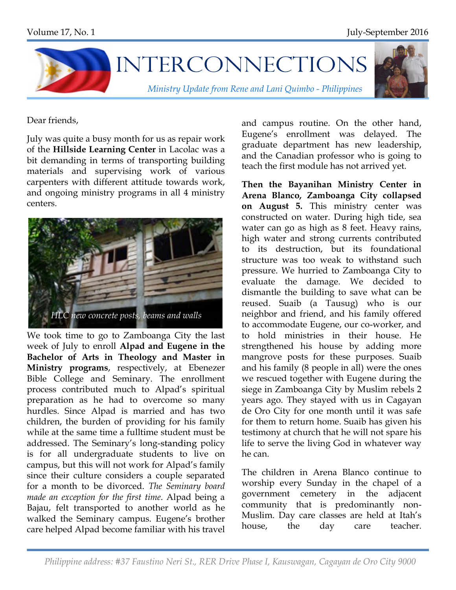

Dear friends,

July was quite a busy month for us as repair work of the **Hillside Learning Center** in Lacolac was a bit demanding in terms of transporting building materials and supervising work of various carpenters with different attitude towards work, and ongoing ministry programs in all 4 ministry centers.



We took time to go to Zamboanga City the last week of July to enroll **Alpad and Eugene in the Bachelor of Arts in Theology and Master in Ministry programs**, respectively, at Ebenezer Bible College and Seminary. The enrollment process contributed much to Alpad's spiritual preparation as he had to overcome so many hurdles. Since Alpad is married and has two children, the burden of providing for his family while at the same time a fulltime student must be addressed. The Seminary's long-standing policy is for all undergraduate students to live on campus, but this will not work for Alpad's family since their culture considers a couple separated for a month to be divorced. *The Seminary board made an exception for the first time*. Alpad being a Bajau, felt transported to another world as he walked the Seminary campus. Eugene's brother care helped Alpad become familiar with his travel

and campus routine. On the other hand, Eugene's enrollment was delayed. The graduate department has new leadership, and the Canadian professor who is going to teach the first module has not arrived yet.

**Then the Bayanihan Ministry Center in Arena Blanco, Zamboanga City collapsed on August 5.** This ministry center was constructed on water. During high tide, sea water can go as high as 8 feet. Heavy rains, high water and strong currents contributed to its destruction, but its foundational structure was too weak to withstand such pressure. We hurried to Zamboanga City to evaluate the damage. We decided to dismantle the building to save what can be reused. Suaib (a Tausug) who is our neighbor and friend, and his family offered to accommodate Eugene, our co-worker, and to hold ministries in their house. He strengthened his house by adding more mangrove posts for these purposes. Suaib and his family (8 people in all) were the ones we rescued together with Eugene during the siege in Zamboanga City by Muslim rebels 2 years ago. They stayed with us in Cagayan de Oro City for one month until it was safe for them to return home. Suaib has given his testimony at church that he will not spare his life to serve the living God in whatever way he can.

The children in Arena Blanco continue to worship every Sunday in the chapel of a government cemetery in the adjacent community that is predominantly non-Muslim. Day care classes are held at Itah's house, the day care teacher.